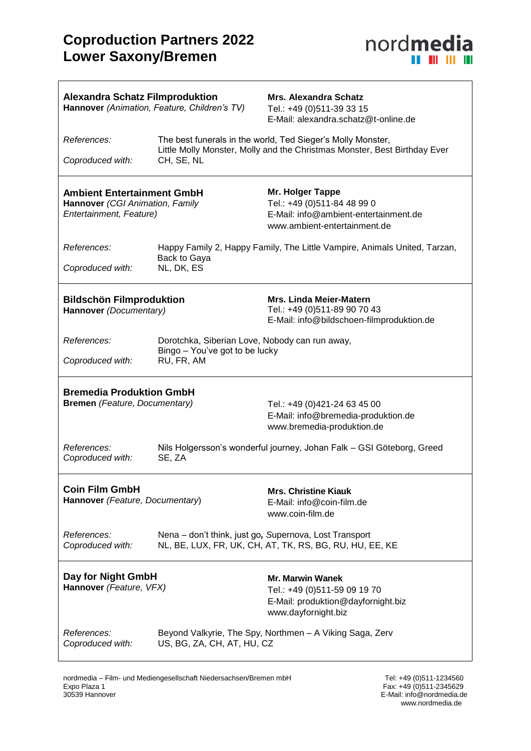$\overline{1}$ 



| <b>Alexandra Schatz Filmproduktion</b><br>Hannover (Animation, Feature, Children's TV)          |                                                                                                                                          | <b>Mrs. Alexandra Schatz</b><br>Tel.: +49 (0)511-39 33 15<br>E-Mail: alexandra.schatz@t-online.de                        |
|-------------------------------------------------------------------------------------------------|------------------------------------------------------------------------------------------------------------------------------------------|--------------------------------------------------------------------------------------------------------------------------|
| References:                                                                                     | The best funerals in the world, Ted Sieger's Molly Monster,<br>Little Molly Monster, Molly and the Christmas Monster, Best Birthday Ever |                                                                                                                          |
| Coproduced with:                                                                                | CH, SE, NL                                                                                                                               |                                                                                                                          |
| <b>Ambient Entertainment GmbH</b><br>Hannover (CGI Animation, Family<br>Entertainment, Feature) |                                                                                                                                          | Mr. Holger Tappe<br>Tel.: +49 (0)511-84 48 99 0<br>E-Mail: info@ambient-entertainment.de<br>www.ambient-entertainment.de |
| References:<br>Coproduced with:                                                                 | Happy Family 2, Happy Family, The Little Vampire, Animals United, Tarzan,<br>Back to Gaya<br>NL, DK, ES                                  |                                                                                                                          |
|                                                                                                 |                                                                                                                                          |                                                                                                                          |
| <b>Bildschön Filmproduktion</b><br>Hannover (Documentary)                                       |                                                                                                                                          | <b>Mrs. Linda Meier-Matern</b><br>Tel.: +49 (0)511-89 90 70 43<br>E-Mail: info@bildschoen-filmproduktion.de              |
| References:                                                                                     | Dorotchka, Siberian Love, Nobody can run away,                                                                                           |                                                                                                                          |
| Coproduced with:                                                                                | Bingo - You've got to be lucky<br>RU, FR, AM                                                                                             |                                                                                                                          |
| <b>Bremedia Produktion GmbH</b>                                                                 |                                                                                                                                          |                                                                                                                          |
| <b>Bremen</b> (Feature, Documentary)                                                            |                                                                                                                                          | Tel.: +49 (0)421-24 63 45 00<br>E-Mail: info@bremedia-produktion.de<br>www.bremedia-produktion.de                        |
| References:<br>Coproduced with:                                                                 | SE, ZA                                                                                                                                   | Nils Holgersson's wonderful journey, Johan Falk - GSI Göteborg, Greed                                                    |
| <b>Coin Film GmbH</b><br>Hannover (Feature, Documentary)                                        |                                                                                                                                          | <b>Mrs. Christine Kiauk</b><br>E-Mail: info@coin-film.de<br>www.coin-film.de                                             |
| References:<br>Coproduced with:                                                                 |                                                                                                                                          | Nena - don't think, just go, Supernova, Lost Transport<br>NL, BE, LUX, FR, UK, CH, AT, TK, RS, BG, RU, HU, EE, KE        |
| Day for Night GmbH<br>Hannover (Feature, VFX)                                                   |                                                                                                                                          | <b>Mr. Marwin Wanek</b><br>Tel.: +49 (0)511-59 09 19 70<br>E-Mail: produktion@dayfornight.biz<br>www.dayfornight.biz     |
| References:<br>Coproduced with:                                                                 | US, BG, ZA, CH, AT, HU, CZ                                                                                                               | Beyond Valkyrie, The Spy, Northmen - A Viking Saga, Zerv                                                                 |

www.nordmedia.de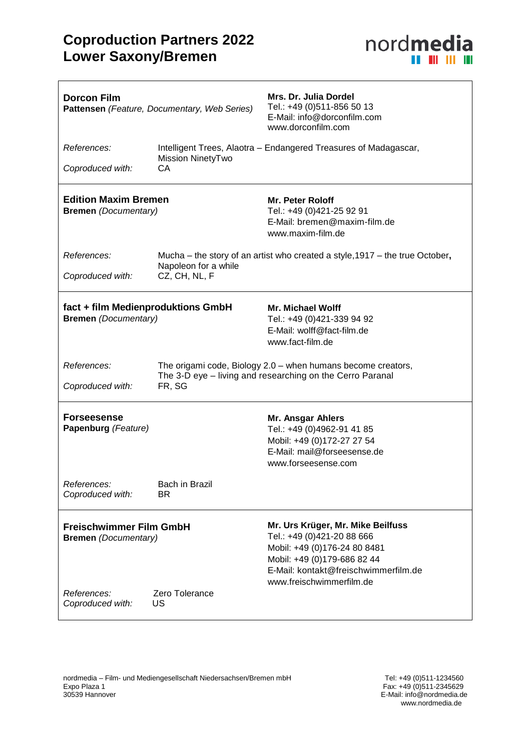

| <b>Dorcon Film</b><br>Pattensen (Feature, Documentary, Web Series)                             |                                                                                                                                     | Mrs. Dr. Julia Dordel<br>Tel.: +49 (0)511-856 50 13<br>E-Mail: info@dorconfilm.com<br>www.dorconfilm.com                                                                                           |
|------------------------------------------------------------------------------------------------|-------------------------------------------------------------------------------------------------------------------------------------|----------------------------------------------------------------------------------------------------------------------------------------------------------------------------------------------------|
| References:                                                                                    | Mission NinetyTwo                                                                                                                   | Intelligent Trees, Alaotra - Endangered Treasures of Madagascar,                                                                                                                                   |
| Coproduced with:                                                                               | CA                                                                                                                                  |                                                                                                                                                                                                    |
| <b>Edition Maxim Bremen</b><br><b>Bremen</b> (Documentary)                                     |                                                                                                                                     | <b>Mr. Peter Roloff</b><br>Tel.: +49 (0)421-25 92 91<br>E-Mail: bremen@maxim-film.de<br>www.maxim-film.de                                                                                          |
| References:                                                                                    | Mucha – the story of an artist who created a style, 1917 – the true October,<br>Napoleon for a while                                |                                                                                                                                                                                                    |
| Coproduced with:                                                                               | CZ, CH, NL, F                                                                                                                       |                                                                                                                                                                                                    |
| fact + film Medienproduktions GmbH<br><b>Bremen</b> (Documentary)                              |                                                                                                                                     | Mr. Michael Wolff<br>Tel.: +49 (0)421-339 94 92<br>E-Mail: wolff@fact-film.de<br>www.fact-film.de                                                                                                  |
| References:<br>Coproduced with:                                                                | The origami code, Biology 2.0 - when humans become creators,<br>The 3-D eye - living and researching on the Cerro Paranal<br>FR, SG |                                                                                                                                                                                                    |
| <b>Forseesense</b><br>Papenburg (Feature)                                                      |                                                                                                                                     | Mr. Ansgar Ahlers<br>Tel.: +49 (0)4962-91 41 85<br>Mobil: +49 (0)172-27 27 54<br>E-Mail: mail@forseesense.de<br>www.forseesense.com                                                                |
| References:<br>Coproduced with:                                                                | Bach in Brazil<br>BR.                                                                                                               |                                                                                                                                                                                                    |
| <b>Freischwimmer Film GmbH</b><br><b>Bremen</b> (Documentary)<br>Zero Tolerance<br>References: |                                                                                                                                     | Mr. Urs Krüger, Mr. Mike Beilfuss<br>Tel.: +49 (0)421-20 88 666<br>Mobil: +49 (0)176-24 80 8481<br>Mobil: +49 (0)179-686 82 44<br>E-Mail: kontakt@freischwimmerfilm.de<br>www.freischwimmerfilm.de |
| Coproduced with:                                                                               | US                                                                                                                                  |                                                                                                                                                                                                    |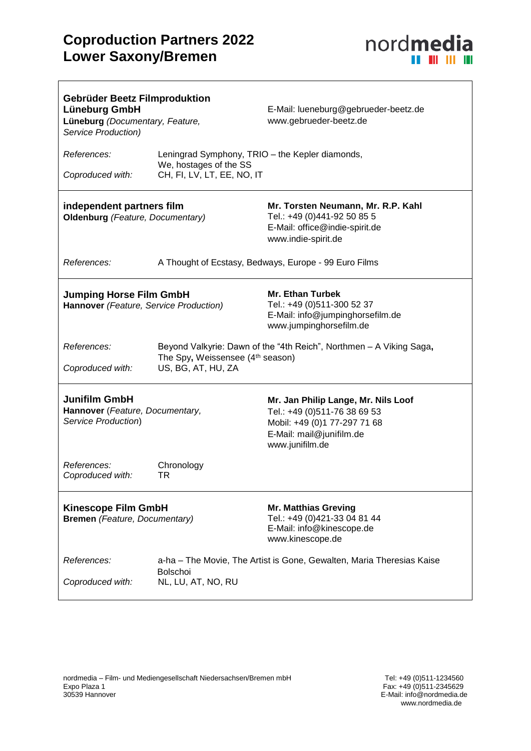$\overline{1}$ 



| Gebrüder Beetz Filmproduktion<br>Lüneburg GmbH<br>Lüneburg (Documentary, Feature,<br>Service Production) |                                                                                                                               | E-Mail: lueneburg@gebrueder-beetz.de<br>www.gebrueder-beetz.de                                                                                     |
|----------------------------------------------------------------------------------------------------------|-------------------------------------------------------------------------------------------------------------------------------|----------------------------------------------------------------------------------------------------------------------------------------------------|
| References:<br>Coproduced with:                                                                          | Leningrad Symphony, TRIO - the Kepler diamonds,<br>We, hostages of the SS<br>CH, FI, LV, LT, EE, NO, IT                       |                                                                                                                                                    |
| independent partners film<br>Oldenburg (Feature, Documentary)                                            |                                                                                                                               | Mr. Torsten Neumann, Mr. R.P. Kahl<br>Tel.: +49 (0)441-92 50 85 5<br>E-Mail: office@indie-spirit.de<br>www.indie-spirit.de                         |
| References:                                                                                              | A Thought of Ecstasy, Bedways, Europe - 99 Euro Films                                                                         |                                                                                                                                                    |
| <b>Jumping Horse Film GmbH</b><br>Hannover (Feature, Service Production)                                 |                                                                                                                               | <b>Mr. Ethan Turbek</b><br>Tel.: +49 (0)511-300 52 37<br>E-Mail: info@jumpinghorsefilm.de<br>www.jumpinghorsefilm.de                               |
| References:<br>Coproduced with:                                                                          | Beyond Valkyrie: Dawn of the "4th Reich", Northmen - A Viking Saga,<br>The Spy, Weissensee (4th season)<br>US, BG, AT, HU, ZA |                                                                                                                                                    |
| <b>Junifilm GmbH</b><br>Hannover (Feature, Documentary,<br>Service Production)                           |                                                                                                                               | Mr. Jan Philip Lange, Mr. Nils Loof<br>Tel.: +49 (0)511-76 38 69 53<br>Mobil: +49 (0)1 77-297 71 68<br>E-Mail: mail@junifilm.de<br>www.junifilm.de |
| References:<br>Coproduced with:                                                                          | Chronology<br><b>TR</b>                                                                                                       |                                                                                                                                                    |
| <b>Kinescope Film GmbH</b><br><b>Bremen</b> (Feature, Documentary)                                       |                                                                                                                               | <b>Mr. Matthias Greving</b><br>Tel.: +49 (0)421-33 04 81 44<br>E-Mail: info@kinescope.de<br>www.kinescope.de                                       |
| References:<br>Coproduced with:                                                                          | a-ha – The Movie, The Artist is Gone, Gewalten, Maria Theresias Kaise<br><b>Bolschoi</b><br>NL, LU, AT, NO, RU                |                                                                                                                                                    |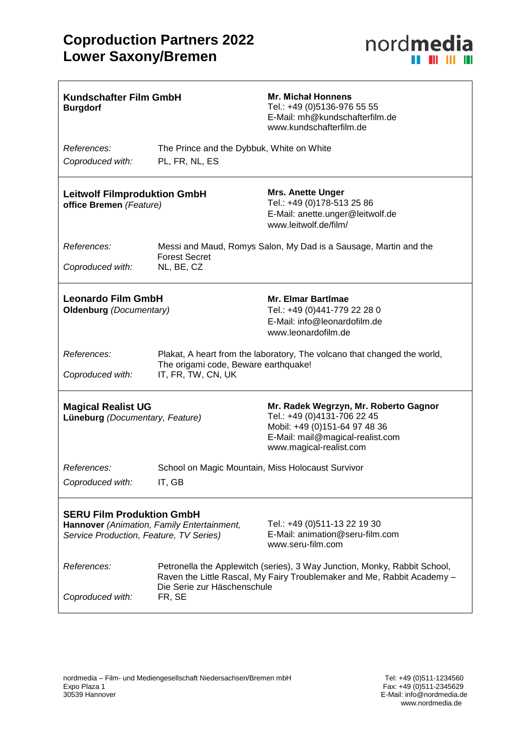

| <b>Kundschafter Film GmbH</b><br><b>Burgdorf</b>                                                                          |                                                                                                                                                                                               | <b>Mr. Michal Honnens</b><br>Tel.: +49 (0)5136-976 55 55<br>E-Mail: mh@kundschafterfilm.de<br>www.kundschafterfilm.de                                                |
|---------------------------------------------------------------------------------------------------------------------------|-----------------------------------------------------------------------------------------------------------------------------------------------------------------------------------------------|----------------------------------------------------------------------------------------------------------------------------------------------------------------------|
| References:<br>Coproduced with:                                                                                           | The Prince and the Dybbuk, White on White<br>PL, FR, NL, ES                                                                                                                                   |                                                                                                                                                                      |
| <b>Leitwolf Filmproduktion GmbH</b><br>office Bremen (Feature)                                                            |                                                                                                                                                                                               | <b>Mrs. Anette Unger</b><br>Tel.: +49 (0)178-513 25 86<br>E-Mail: anette.unger@leitwolf.de<br>www.leitwolf.de/film/                                                  |
| References:<br>Coproduced with:                                                                                           | <b>Forest Secret</b><br>NL, BE, CZ                                                                                                                                                            | Messi and Maud, Romys Salon, My Dad is a Sausage, Martin and the                                                                                                     |
| <b>Leonardo Film GmbH</b><br>Oldenburg (Documentary)                                                                      |                                                                                                                                                                                               | <b>Mr. Elmar Bartimae</b><br>Tel.: +49 (0)441-779 22 28 0<br>E-Mail: info@leonardofilm.de<br>www.leonardofilm.de                                                     |
| References:<br>Coproduced with:                                                                                           | Plakat, A heart from the laboratory, The volcano that changed the world,<br>The origami code, Beware earthquake!<br>IT, FR, TW, CN, UK                                                        |                                                                                                                                                                      |
| <b>Magical Realist UG</b><br>Lüneburg (Documentary, Feature)                                                              |                                                                                                                                                                                               | Mr. Radek Wegrzyn, Mr. Roberto Gagnor<br>Tel.: +49 (0)4131-706 22 45<br>Mobil: +49 (0)151-64 97 48 36<br>E-Mail: mail@magical-realist.com<br>www.magical-realist.com |
| References:<br>Coproduced with:                                                                                           | School on Magic Mountain, Miss Holocaust Survivor<br>IT, GB                                                                                                                                   |                                                                                                                                                                      |
| <b>SERU Film Produktion GmbH</b><br>Hannover (Animation, Family Entertainment,<br>Service Production, Feature, TV Series) |                                                                                                                                                                                               | Tel.: +49 (0)511-13 22 19 30<br>E-Mail: animation@seru-film.com<br>www.seru-film.com                                                                                 |
| References:<br>Coproduced with:                                                                                           | Petronella the Applewitch (series), 3 Way Junction, Monky, Rabbit School,<br>Raven the Little Rascal, My Fairy Troublemaker and Me, Rabbit Academy -<br>Die Serie zur Häschenschule<br>FR, SE |                                                                                                                                                                      |